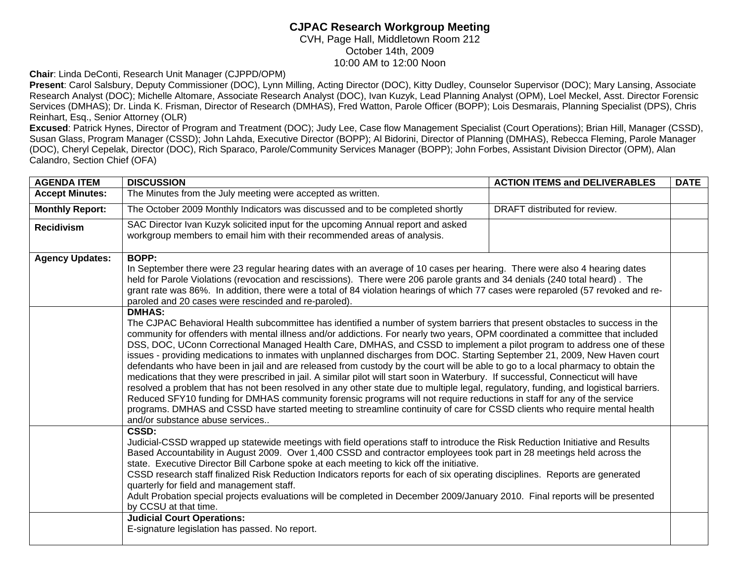## **CJPAC Research Workgroup Meeting**  CVH, Page Hall, Middletown Room 212

October 14th, 2009

10:00 AM to 12:00 Noon

**Chair**: Linda DeConti, Research Unit Manager (CJPPD/OPM)

**Present**: Carol Salsbury, Deputy Commissioner (DOC), Lynn Milling, Acting Director (DOC), Kitty Dudley, Counselor Supervisor (DOC); Mary Lansing, Associate Research Analyst (DOC); Michelle Altomare, Associate Research Analyst (DOC), Ivan Kuzyk, Lead Planning Analyst (OPM), Loel Meckel, Asst. Director Forensic Services (DMHAS); Dr. Linda K. Frisman, Director of Research (DMHAS), Fred Watton, Parole Officer (BOPP); Lois Desmarais, Planning Specialist (DPS), Chris Reinhart, Esq., Senior Attorney (OLR)

**Excused**: Patrick Hynes, Director of Program and Treatment (DOC); Judy Lee, Case flow Management Specialist (Court Operations); Brian Hill, Manager (CSSD), Susan Glass, Program Manager (CSSD); John Lahda, Executive Director (BOPP); Al Bidorini, Director of Planning (DMHAS), Rebecca Fleming, Parole Manager (DOC), Cheryl Cepelak, Director (DOC), Rich Sparaco, Parole/Community Services Manager (BOPP); John Forbes, Assistant Division Director (OPM), Alan Calandro, Section Chief (OFA)

| <b>AGENDA ITEM</b>     | <b>DISCUSSION</b>                                                                                                                                                                                                                                                                                                                                                                                                                                                                                                                                                                                                                                                                                                                                                                                                                                                                                                                                                                                                                                                                                                                                                                                                                                    | <b>ACTION ITEMS and DELIVERABLES</b> | <b>DATE</b> |
|------------------------|------------------------------------------------------------------------------------------------------------------------------------------------------------------------------------------------------------------------------------------------------------------------------------------------------------------------------------------------------------------------------------------------------------------------------------------------------------------------------------------------------------------------------------------------------------------------------------------------------------------------------------------------------------------------------------------------------------------------------------------------------------------------------------------------------------------------------------------------------------------------------------------------------------------------------------------------------------------------------------------------------------------------------------------------------------------------------------------------------------------------------------------------------------------------------------------------------------------------------------------------------|--------------------------------------|-------------|
| <b>Accept Minutes:</b> | The Minutes from the July meeting were accepted as written.                                                                                                                                                                                                                                                                                                                                                                                                                                                                                                                                                                                                                                                                                                                                                                                                                                                                                                                                                                                                                                                                                                                                                                                          |                                      |             |
| <b>Monthly Report:</b> | The October 2009 Monthly Indicators was discussed and to be completed shortly                                                                                                                                                                                                                                                                                                                                                                                                                                                                                                                                                                                                                                                                                                                                                                                                                                                                                                                                                                                                                                                                                                                                                                        | DRAFT distributed for review.        |             |
| <b>Recidivism</b>      | SAC Director Ivan Kuzyk solicited input for the upcoming Annual report and asked<br>workgroup members to email him with their recommended areas of analysis.                                                                                                                                                                                                                                                                                                                                                                                                                                                                                                                                                                                                                                                                                                                                                                                                                                                                                                                                                                                                                                                                                         |                                      |             |
| <b>Agency Updates:</b> | <b>BOPP:</b><br>In September there were 23 regular hearing dates with an average of 10 cases per hearing. There were also 4 hearing dates<br>held for Parole Violations (revocation and rescissions). There were 206 parole grants and 34 denials (240 total heard). The<br>grant rate was 86%. In addition, there were a total of 84 violation hearings of which 77 cases were reparoled (57 revoked and re-<br>paroled and 20 cases were rescinded and re-paroled).                                                                                                                                                                                                                                                                                                                                                                                                                                                                                                                                                                                                                                                                                                                                                                                |                                      |             |
|                        | <b>DMHAS:</b><br>The CJPAC Behavioral Health subcommittee has identified a number of system barriers that present obstacles to success in the<br>community for offenders with mental illness and/or addictions. For nearly two years, OPM coordinated a committee that included<br>DSS, DOC, UConn Correctional Managed Health Care, DMHAS, and CSSD to implement a pilot program to address one of these<br>issues - providing medications to inmates with unplanned discharges from DOC. Starting September 21, 2009, New Haven court<br>defendants who have been in jail and are released from custody by the court will be able to go to a local pharmacy to obtain the<br>medications that they were prescribed in jail. A similar pilot will start soon in Waterbury. If successful, Connecticut will have<br>resolved a problem that has not been resolved in any other state due to multiple legal, regulatory, funding, and logistical barriers.<br>Reduced SFY10 funding for DMHAS community forensic programs will not require reductions in staff for any of the service<br>programs. DMHAS and CSSD have started meeting to streamline continuity of care for CSSD clients who require mental health<br>and/or substance abuse services |                                      |             |
|                        | <b>CSSD:</b><br>Judicial-CSSD wrapped up statewide meetings with field operations staff to introduce the Risk Reduction Initiative and Results<br>Based Accountability in August 2009. Over 1,400 CSSD and contractor employees took part in 28 meetings held across the<br>state. Executive Director Bill Carbone spoke at each meeting to kick off the initiative.<br>CSSD research staff finalized Risk Reduction Indicators reports for each of six operating disciplines. Reports are generated<br>quarterly for field and management staff.<br>Adult Probation special projects evaluations will be completed in December 2009/January 2010. Final reports will be presented<br>by CCSU at that time.<br><b>Judicial Court Operations:</b>                                                                                                                                                                                                                                                                                                                                                                                                                                                                                                     |                                      |             |
|                        | E-signature legislation has passed. No report.                                                                                                                                                                                                                                                                                                                                                                                                                                                                                                                                                                                                                                                                                                                                                                                                                                                                                                                                                                                                                                                                                                                                                                                                       |                                      |             |